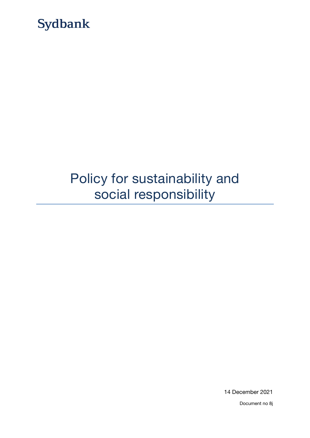

# Policy for sustainability and social responsibility

14 December 2021

Document no 8j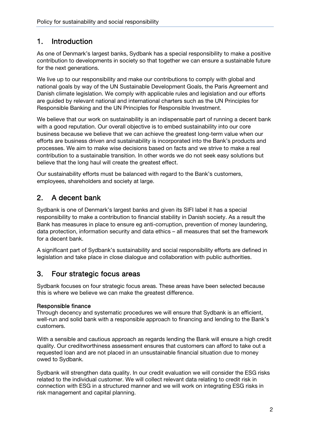# 1. Introduction

As one of Denmark's largest banks, Sydbank has a special responsibility to make a positive contribution to developments in society so that together we can ensure a sustainable future for the next generations.

We live up to our responsibility and make our contributions to comply with global and national goals by way of the UN Sustainable Development Goals, the Paris Agreement and Danish climate legislation. We comply with applicable rules and legislation and our efforts are guided by relevant national and international charters such as the UN Principles for Responsible Banking and the UN Principles for Responsible Investment.

We believe that our work on sustainability is an indispensable part of running a decent bank with a good reputation. Our overall objective is to embed sustainability into our core business because we believe that we can achieve the greatest long-term value when our efforts are business driven and sustainability is incorporated into the Bank's products and processes. We aim to make wise decisions based on facts and we strive to make a real contribution to a sustainable transition. In other words we do not seek easy solutions but believe that the long haul will create the greatest effect.

Our sustainability efforts must be balanced with regard to the Bank's customers, employees, shareholders and society at large.

# 2. A decent bank

Sydbank is one of Denmark's largest banks and given its SIFI label it has a special responsibility to make a contribution to financial stability in Danish society. As a result the Bank has measures in place to ensure eg anti-corruption, prevention of money laundering, data protection, information security and data ethics – all measures that set the framework for a decent bank.

A significant part of Sydbank's sustainability and social responsibility efforts are defined in legislation and take place in close dialogue and collaboration with public authorities.

# 3. Four strategic focus areas

Sydbank focuses on four strategic focus areas. These areas have been selected because this is where we believe we can make the greatest difference.

### Responsible finance

Through decency and systematic procedures we will ensure that Sydbank is an efficient, well-run and solid bank with a responsible approach to financing and lending to the Bank's customers.

With a sensible and cautious approach as regards lending the Bank will ensure a high credit quality. Our creditworthiness assessment ensures that customers can afford to take out a requested loan and are not placed in an unsustainable financial situation due to money owed to Sydbank.

Sydbank will strengthen data quality. In our credit evaluation we will consider the ESG risks related to the individual customer. We will collect relevant data relating to credit risk in connection with ESG in a structured manner and we will work on integrating ESG risks in risk management and capital planning.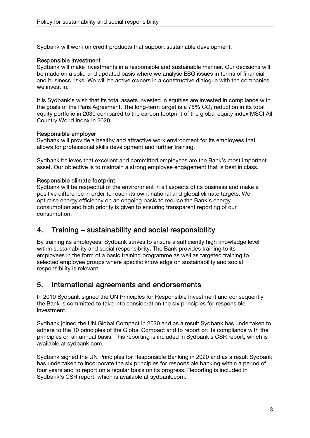Sydbank will work on credit products that support sustainable development.

#### Responsible investment

Sydbank will make investments in a responsible and sustainable manner. Our decisions will be made on a solid and updated basis where we analyse ESG issues in terms of financial and business risks. We will be active owners in a constructive dialogue with the companies we invest in.

It is Sydbank's wish that its total assets invested in equities are invested in compliance with the goals of the Paris Agreement. The long-term target is a  $75\%$  CO<sub>2</sub> reduction in its total equity portfolio in 2030 compared to the carbon footprint of the global equity index MSCI All Country World Index in 2020.

#### Responsible employer

Sydbank will provide a healthy and attractive work environment for its employees that allows for professional skills development and further training.

Sydbank believes that excellent and committed employees are the Bank's most important asset. Our objective is to maintain a strong employee engagement that is best in class.

#### Responsible climate footprint

Sydbank will be respectful of the environment in all aspects of its business and make a positive difference in order to reach its own, national and global climate targets. We optimise energy efficiency on an ongoing basis to reduce the Bank's energy consumption and high priority is given to ensuring transparent reporting of our consumption.

## 4. Training – sustainability and social responsibility

By training its employees, Sydbank strives to ensure a sufficiently high knowledge level within sustainability and social responsibility. The Bank provides training to its employees in the form of a basic training programme as well as targeted training to selected employee groups where specific knowledge on sustainability and social responsibility is relevant.

## 5. International agreements and endorsements

In 2010 Sydbank signed the UN Principles for Responsible Investment and consequently the Bank is committed to take into consideration the six principles for responsible investment.

Sydbank joined the UN Global Compact in 2020 and as a result Sydbank has undertaken to adhere to the 10 principles of the Global Compact and to report on its compliance with the principles on an annual basis. This reporting is included in Sydbank's CSR report, which is available at sydbank.com.

Sydbank signed the UN Principles for Responsible Banking in 2020 and as a result Sydbank has undertaken to incorporate the six principles for responsible banking within a period of four years and to report on a regular basis on its progress. Reporting is included in Sydbank's CSR report, which is available at sydbank.com.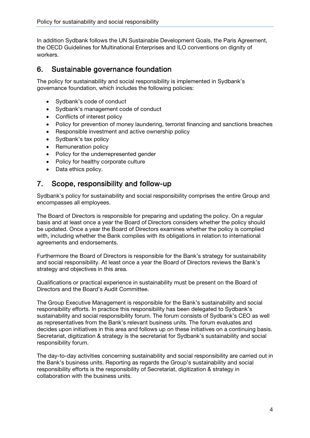In addition Sydbank follows the UN Sustainable Development Goals, the Paris Agreement, the OECD Guidelines for Multinational Enterprises and ILO conventions on dignity of workers.

# 6. Sustainable governance foundation

The policy for sustainability and social responsibility is implemented in Sydbank's governance foundation, which includes the following policies:

- Sydbank's code of conduct
- Sydbank's management code of conduct
- Conflicts of interest policy
- Policy for prevention of money laundering, terrorist financing and sanctions breaches
- Responsible investment and active ownership policy
- Sydbank's tax policy
- Remuneration policy
- Policy for the underrepresented gender
- Policy for healthy corporate culture
- Data ethics policy.

## 7. Scope, responsibility and follow-up

Sydbank's policy for sustainability and social responsibility comprises the entire Group and encompasses all employees.

The Board of Directors is responsible for preparing and updating the policy. On a regular basis and at least once a year the Board of Directors considers whether the policy should be updated. Once a year the Board of Directors examines whether the policy is complied with, including whether the Bank complies with its obligations in relation to international agreements and endorsements.

Furthermore the Board of Directors is responsible for the Bank's strategy for sustainability and social responsibility. At least once a year the Board of Directors reviews the Bank's strategy and objectives in this area.

Qualifications or practical experience in sustainability must be present on the Board of Directors and the Board's Audit Committee.

The Group Executive Management is responsible for the Bank's sustainability and social responsibility efforts. In practice this responsibility has been delegated to Sydbank's sustainability and social responsibility forum. The forum consists of Sydbank's CEO as well as representatives from the Bank's relevant business units. The forum evaluates and decides upon initiatives in this area and follows up on these initiatives on a continuing basis. Secretariat, digitization & strategy is the secretariat for Sydbank's sustainability and social responsibility forum.

The day-to-day activities concerning sustainability and social responsibility are carried out in the Bank's business units. Reporting as regards the Group's sustainability and social responsibility efforts is the responsibility of Secretariat, digitization & strategy in collaboration with the business units.